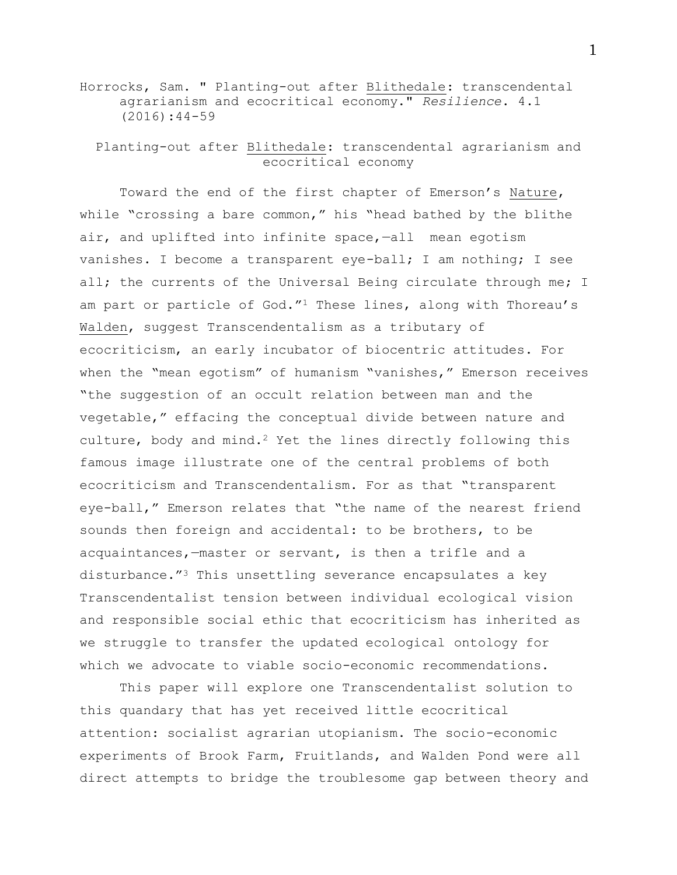## Horrocks, Sam. " Planting-out after Blithedale: transcendental agrarianism and ecocritical economy." *Resilience*. 4.1 (2016):44-59

Planting-out after Blithedale: transcendental agrarianism and ecocritical economy

Toward the end of the first chapter of Emerson's Nature, while "crossing a bare common," his "head bathed by the blithe air, and uplifted into infinite space,-all mean egotism vanishes. I become a transparent eye-ball; I am nothing; I see all; the currents of the Universal Being circulate through me; I am part or particle of God."<sup>1</sup> These lines, along with Thoreau's Walden, suggest Transcendentalism as a tributary of ecocriticism, an early incubator of biocentric attitudes. For when the "mean egotism" of humanism "vanishes," Emerson receives "the suggestion of an occult relation between man and the vegetable," effacing the conceptual divide between nature and culture, body and mind.<sup>2</sup> Yet the lines directly following this famous image illustrate one of the central problems of both ecocriticism and Transcendentalism. For as that "transparent eye-ball," Emerson relates that "the name of the nearest friend sounds then foreign and accidental: to be brothers, to be acquaintances,—master or servant, is then a trifle and a disturbance."<sup>3</sup> This unsettling severance encapsulates a key Transcendentalist tension between individual ecological vision and responsible social ethic that ecocriticism has inherited as we struggle to transfer the updated ecological ontology for which we advocate to viable socio-economic recommendations.

This paper will explore one Transcendentalist solution to this quandary that has yet received little ecocritical attention: socialist agrarian utopianism. The socio-economic experiments of Brook Farm, Fruitlands, and Walden Pond were all direct attempts to bridge the troublesome gap between theory and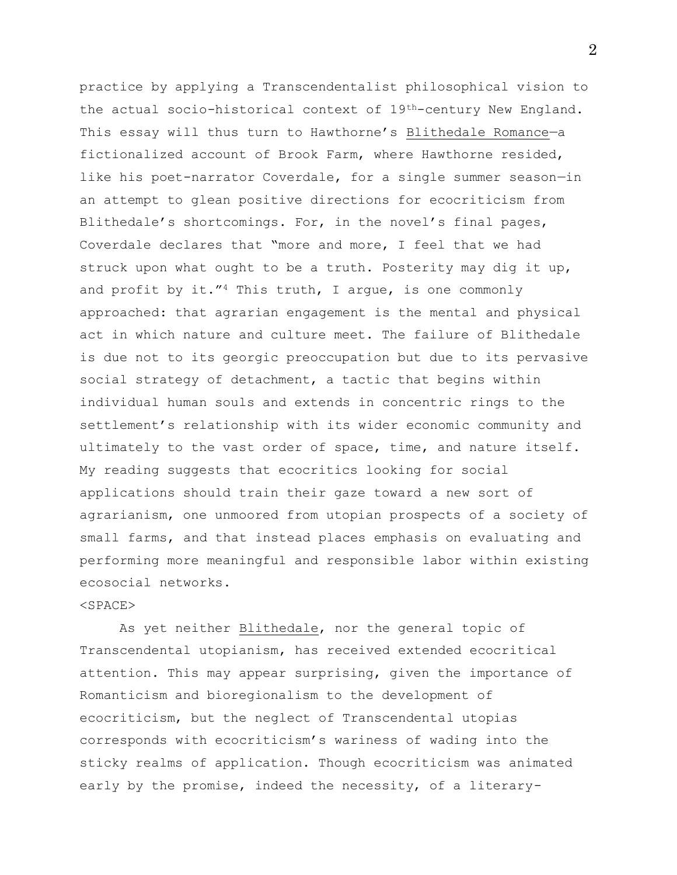practice by applying a Transcendentalist philosophical vision to the actual socio-historical context of 19th-century New England. This essay will thus turn to Hawthorne's Blithedale Romance-a fictionalized account of Brook Farm, where Hawthorne resided, like his poet-narrator Coverdale, for a single summer season—in an attempt to glean positive directions for ecocriticism from Blithedale's shortcomings. For, in the novel's final pages, Coverdale declares that "more and more, I feel that we had struck upon what ought to be a truth. Posterity may dig it up, and profit by it." $4$  This truth, I arque, is one commonly approached: that agrarian engagement is the mental and physical act in which nature and culture meet. The failure of Blithedale is due not to its georgic preoccupation but due to its pervasive social strategy of detachment, a tactic that begins within individual human souls and extends in concentric rings to the settlement's relationship with its wider economic community and ultimately to the vast order of space, time, and nature itself. My reading suggests that ecocritics looking for social applications should train their gaze toward a new sort of agrarianism, one unmoored from utopian prospects of a society of small farms, and that instead places emphasis on evaluating and performing more meaningful and responsible labor within existing ecosocial networks.

## <SPACE>

As yet neither Blithedale, nor the general topic of Transcendental utopianism, has received extended ecocritical attention. This may appear surprising, given the importance of Romanticism and bioregionalism to the development of ecocriticism, but the neglect of Transcendental utopias corresponds with ecocriticism's wariness of wading into the sticky realms of application. Though ecocriticism was animated early by the promise, indeed the necessity, of a literary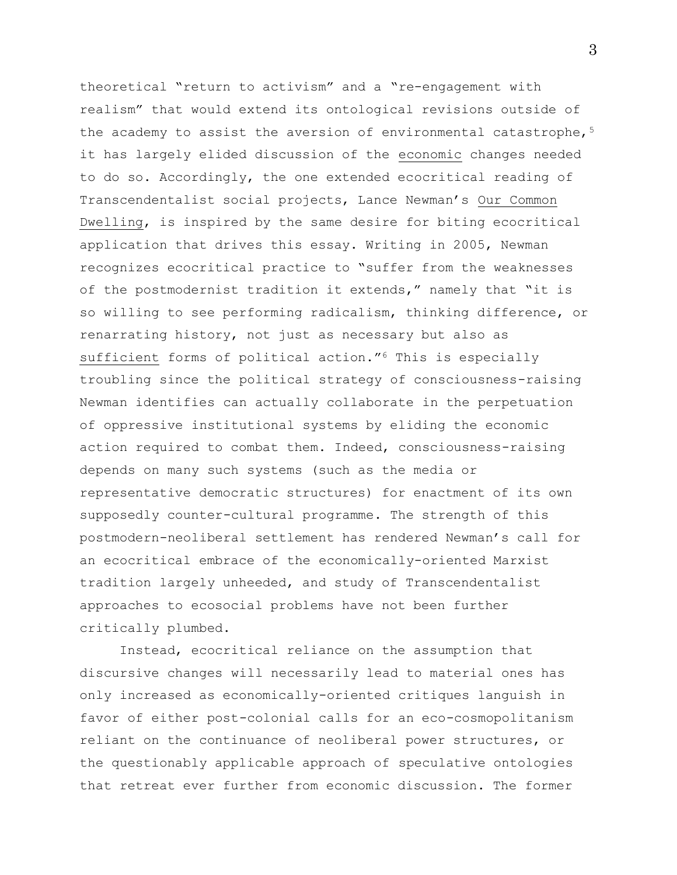theoretical "return to activism" and a "re-engagement with realism" that would extend its ontological revisions outside of the academy to assist the aversion of environmental catastrophe, $5$ it has largely elided discussion of the economic changes needed to do so. Accordingly, the one extended ecocritical reading of Transcendentalist social projects, Lance Newman's Our Common Dwelling, is inspired by the same desire for biting ecocritical application that drives this essay. Writing in 2005, Newman recognizes ecocritical practice to "suffer from the weaknesses of the postmodernist tradition it extends," namely that "it is so willing to see performing radicalism, thinking difference, or renarrating history, not just as necessary but also as sufficient forms of political action."<sup>6</sup> This is especially troubling since the political strategy of consciousness-raising Newman identifies can actually collaborate in the perpetuation of oppressive institutional systems by eliding the economic action required to combat them. Indeed, consciousness-raising depends on many such systems (such as the media or representative democratic structures) for enactment of its own supposedly counter-cultural programme. The strength of this postmodern-neoliberal settlement has rendered Newman's call for an ecocritical embrace of the economically-oriented Marxist tradition largely unheeded, and study of Transcendentalist approaches to ecosocial problems have not been further critically plumbed.

Instead, ecocritical reliance on the assumption that discursive changes will necessarily lead to material ones has only increased as economically-oriented critiques languish in favor of either post-colonial calls for an eco-cosmopolitanism reliant on the continuance of neoliberal power structures, or the questionably applicable approach of speculative ontologies that retreat ever further from economic discussion. The former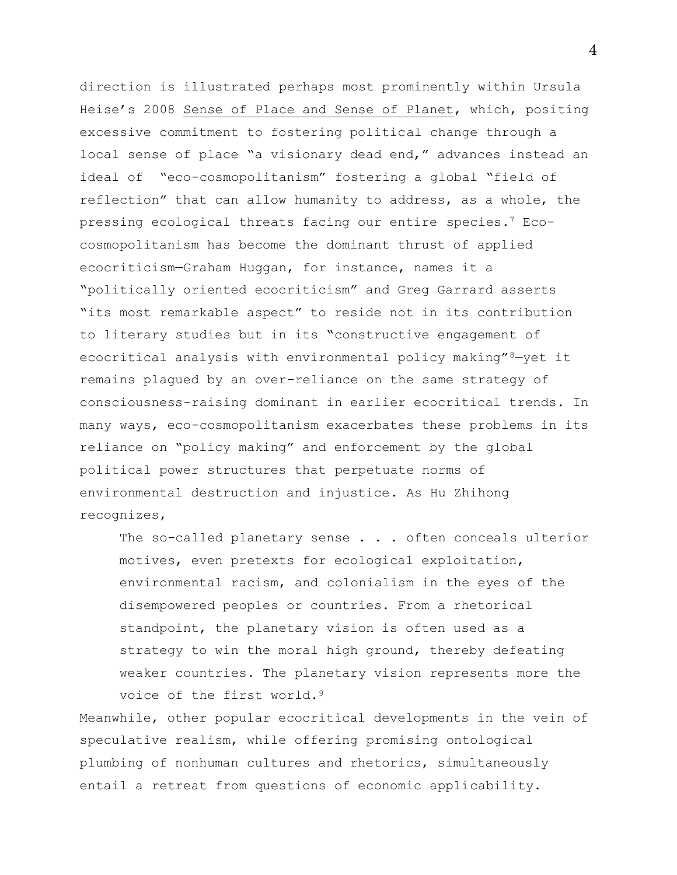direction is illustrated perhaps most prominently within Ursula Heise's 2008 Sense of Place and Sense of Planet, which, positing excessive commitment to fostering political change through a local sense of place "a visionary dead end," advances instead an ideal of "eco-cosmopolitanism" fostering a global "field of reflection" that can allow humanity to address, as a whole, the pressing ecological threats facing our entire species.<sup>7</sup> Ecocosmopolitanism has become the dominant thrust of applied ecocriticism—Graham Huggan, for instance, names it a "politically oriented ecocriticism" and Greg Garrard asserts "its most remarkable aspect" to reside not in its contribution to literary studies but in its "constructive engagement of ecocritical analysis with environmental policy making"8-yet it remains plagued by an over-reliance on the same strategy of consciousness-raising dominant in earlier ecocritical trends. In many ways, eco-cosmopolitanism exacerbates these problems in its reliance on "policy making" and enforcement by the global political power structures that perpetuate norms of environmental destruction and injustice. As Hu Zhihong recognizes,

The so-called planetary sense . . . often conceals ulterior motives, even pretexts for ecological exploitation, environmental racism, and colonialism in the eyes of the disempowered peoples or countries. From a rhetorical standpoint, the planetary vision is often used as a strategy to win the moral high ground, thereby defeating weaker countries. The planetary vision represents more the voice of the first world.<sup>9</sup>

Meanwhile, other popular ecocritical developments in the vein of speculative realism, while offering promising ontological plumbing of nonhuman cultures and rhetorics, simultaneously entail a retreat from questions of economic applicability.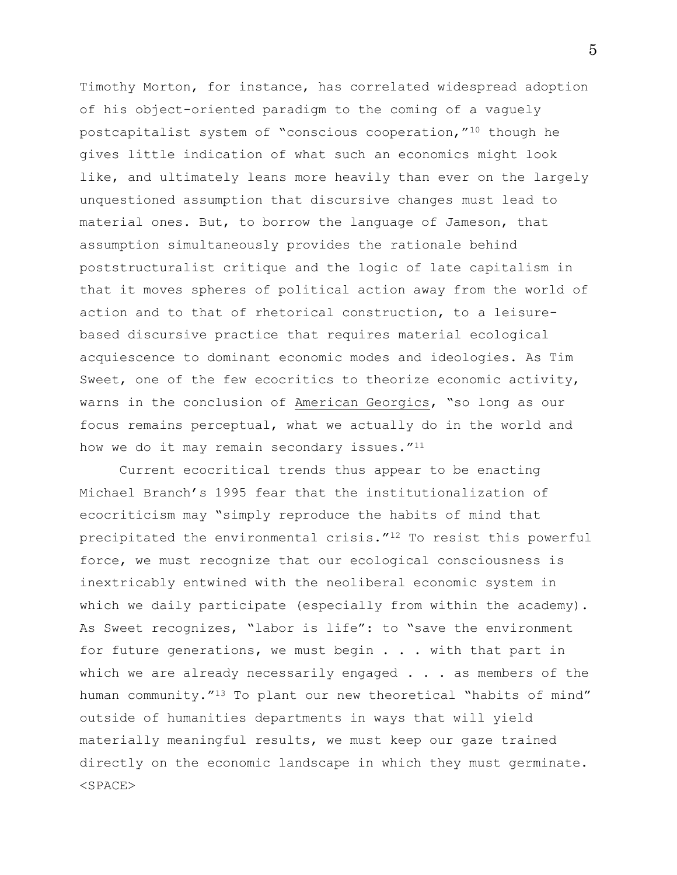Timothy Morton, for instance, has correlated widespread adoption of his object-oriented paradigm to the coming of a vaguely postcapitalist system of "conscious cooperation,"<sup>10</sup> though he gives little indication of what such an economics might look like, and ultimately leans more heavily than ever on the largely unquestioned assumption that discursive changes must lead to material ones. But, to borrow the language of Jameson, that assumption simultaneously provides the rationale behind poststructuralist critique and the logic of late capitalism in that it moves spheres of political action away from the world of action and to that of rhetorical construction, to a leisurebased discursive practice that requires material ecological acquiescence to dominant economic modes and ideologies. As Tim Sweet, one of the few ecocritics to theorize economic activity, warns in the conclusion of American Georgics, "so long as our focus remains perceptual, what we actually do in the world and how we do it may remain secondary issues."<sup>11</sup>

Current ecocritical trends thus appear to be enacting Michael Branch's 1995 fear that the institutionalization of ecocriticism may "simply reproduce the habits of mind that precipitated the environmental crisis."<sup>12</sup> To resist this powerful force, we must recognize that our ecological consciousness is inextricably entwined with the neoliberal economic system in which we daily participate (especially from within the academy). As Sweet recognizes, "labor is life": to "save the environment for future generations, we must begin . . . with that part in which we are already necessarily engaged  $\ldots$  as members of the human community."<sup>13</sup> To plant our new theoretical "habits of mind" outside of humanities departments in ways that will yield materially meaningful results, we must keep our gaze trained directly on the economic landscape in which they must germinate. <SPACE>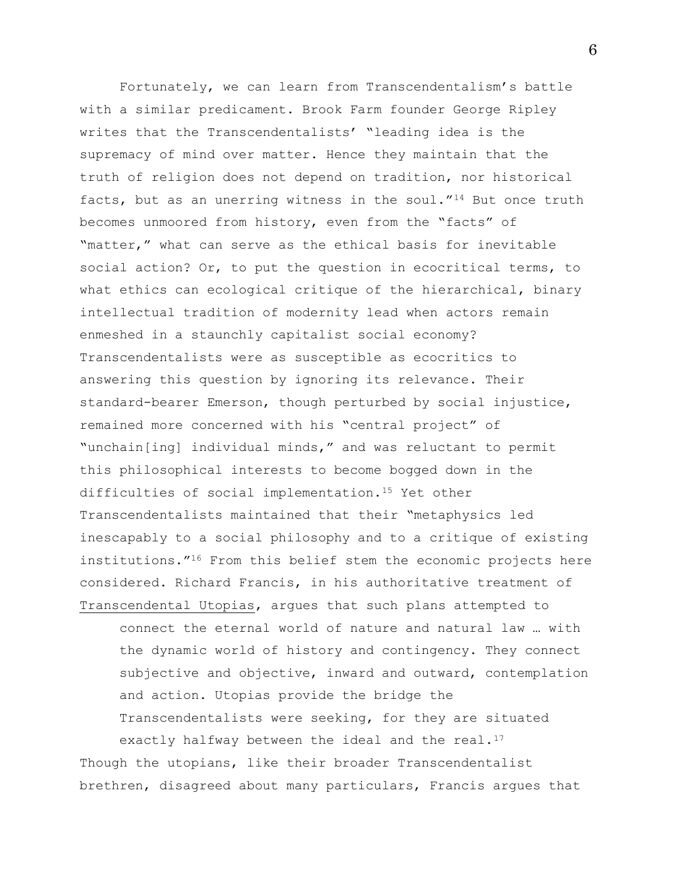Fortunately, we can learn from Transcendentalism's battle with a similar predicament. Brook Farm founder George Ripley writes that the Transcendentalists' "leading idea is the supremacy of mind over matter. Hence they maintain that the truth of religion does not depend on tradition, nor historical facts, but as an unerring witness in the soul."<sup>14</sup> But once truth becomes unmoored from history, even from the "facts" of "matter," what can serve as the ethical basis for inevitable social action? Or, to put the question in ecocritical terms, to what ethics can ecological critique of the hierarchical, binary intellectual tradition of modernity lead when actors remain enmeshed in a staunchly capitalist social economy? Transcendentalists were as susceptible as ecocritics to answering this question by ignoring its relevance. Their standard-bearer Emerson, though perturbed by social injustice, remained more concerned with his "central project" of "unchain[ing] individual minds," and was reluctant to permit this philosophical interests to become bogged down in the difficulties of social implementation.<sup>15</sup> Yet other Transcendentalists maintained that their "metaphysics led inescapably to a social philosophy and to a critique of existing institutions."<sup>16</sup> From this belief stem the economic projects here considered. Richard Francis, in his authoritative treatment of Transcendental Utopias, argues that such plans attempted to

connect the eternal world of nature and natural law … with the dynamic world of history and contingency. They connect subjective and objective, inward and outward, contemplation and action. Utopias provide the bridge the Transcendentalists were seeking, for they are situated exactly halfway between the ideal and the real. $17$ 

Though the utopians, like their broader Transcendentalist brethren, disagreed about many particulars, Francis argues that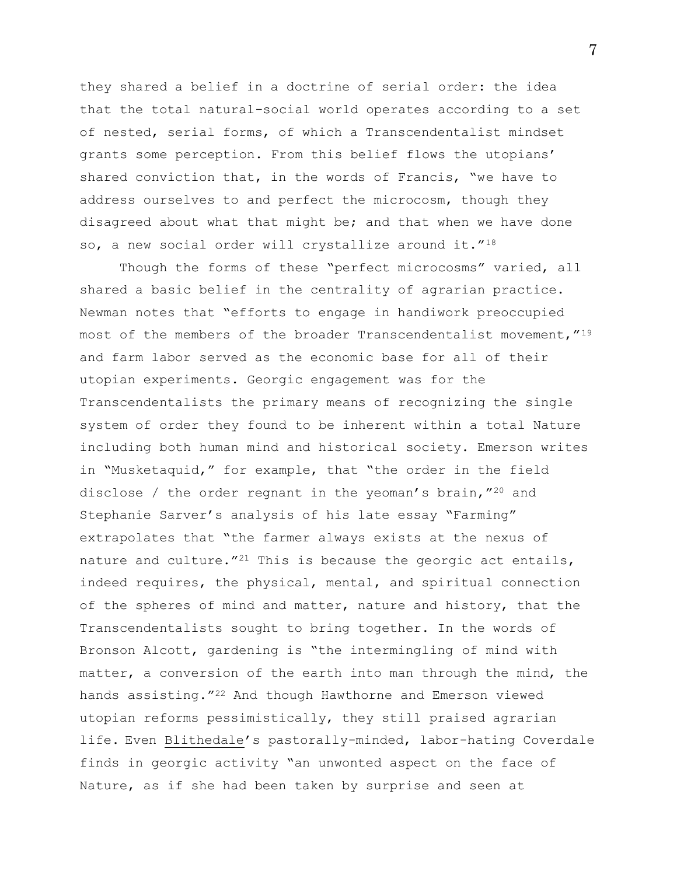they shared a belief in a doctrine of serial order: the idea that the total natural-social world operates according to a set of nested, serial forms, of which a Transcendentalist mindset grants some perception. From this belief flows the utopians' shared conviction that, in the words of Francis, "we have to address ourselves to and perfect the microcosm, though they disagreed about what that might be; and that when we have done so, a new social order will crystallize around it."18

Though the forms of these "perfect microcosms" varied, all shared a basic belief in the centrality of agrarian practice. Newman notes that "efforts to engage in handiwork preoccupied most of the members of the broader Transcendentalist movement,"<sup>19</sup> and farm labor served as the economic base for all of their utopian experiments. Georgic engagement was for the Transcendentalists the primary means of recognizing the single system of order they found to be inherent within a total Nature including both human mind and historical society. Emerson writes in "Musketaquid," for example, that "the order in the field disclose / the order regnant in the yeoman's brain,"<sup>20</sup> and Stephanie Sarver's analysis of his late essay "Farming" extrapolates that "the farmer always exists at the nexus of nature and culture."<sup>21</sup> This is because the georgic act entails, indeed requires, the physical, mental, and spiritual connection of the spheres of mind and matter, nature and history, that the Transcendentalists sought to bring together. In the words of Bronson Alcott, gardening is "the intermingling of mind with matter, a conversion of the earth into man through the mind, the hands assisting."<sup>22</sup> And though Hawthorne and Emerson viewed utopian reforms pessimistically, they still praised agrarian life. Even Blithedale's pastorally-minded, labor-hating Coverdale finds in georgic activity "an unwonted aspect on the face of Nature, as if she had been taken by surprise and seen at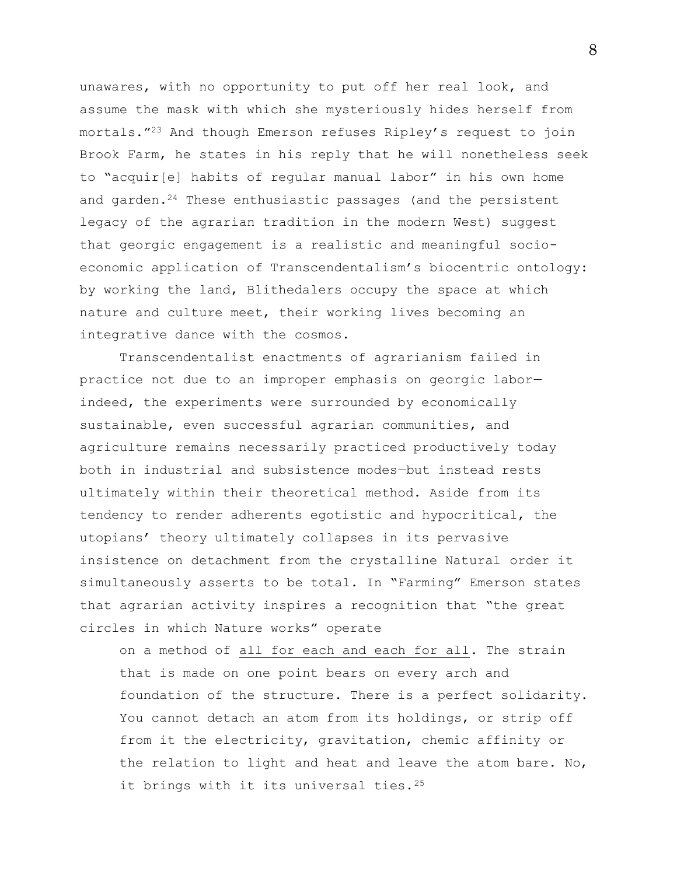unawares, with no opportunity to put off her real look, and assume the mask with which she mysteriously hides herself from mortals."<sup>23</sup> And though Emerson refuses Ripley's request to join Brook Farm, he states in his reply that he will nonetheless seek to "acquir[e] habits of regular manual labor" in his own home and garden.<sup>24</sup> These enthusiastic passages (and the persistent legacy of the agrarian tradition in the modern West) suggest that georgic engagement is a realistic and meaningful socioeconomic application of Transcendentalism's biocentric ontology: by working the land, Blithedalers occupy the space at which nature and culture meet, their working lives becoming an integrative dance with the cosmos.

Transcendentalist enactments of agrarianism failed in practice not due to an improper emphasis on georgic labor indeed, the experiments were surrounded by economically sustainable, even successful agrarian communities, and agriculture remains necessarily practiced productively today both in industrial and subsistence modes—but instead rests ultimately within their theoretical method. Aside from its tendency to render adherents egotistic and hypocritical, the utopians' theory ultimately collapses in its pervasive insistence on detachment from the crystalline Natural order it simultaneously asserts to be total. In "Farming" Emerson states that agrarian activity inspires a recognition that "the great circles in which Nature works" operate

on a method of all for each and each for all*.* The strain that is made on one point bears on every arch and foundation of the structure. There is a perfect solidarity. You cannot detach an atom from its holdings, or strip off from it the electricity, gravitation, chemic affinity or the relation to light and heat and leave the atom bare. No, it brings with it its universal ties.<sup>25</sup>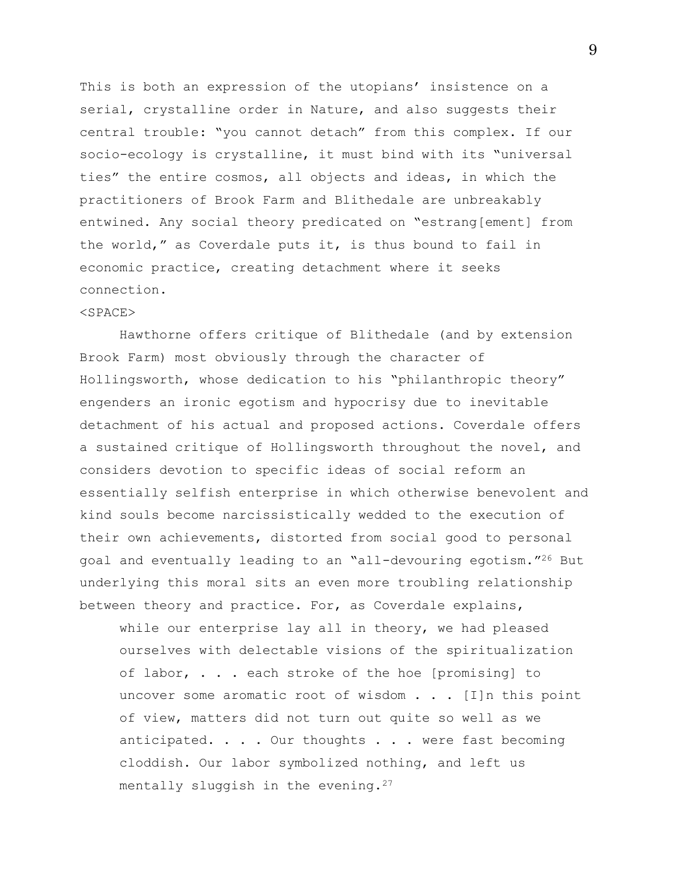This is both an expression of the utopians' insistence on a serial, crystalline order in Nature, and also suggests their central trouble: "you cannot detach" from this complex. If our socio-ecology is crystalline, it must bind with its "universal ties" the entire cosmos, all objects and ideas, in which the practitioners of Brook Farm and Blithedale are unbreakably entwined. Any social theory predicated on "estrang[ement] from the world," as Coverdale puts it, is thus bound to fail in economic practice, creating detachment where it seeks connection.

## <SPACE>

Hawthorne offers critique of Blithedale (and by extension Brook Farm) most obviously through the character of Hollingsworth, whose dedication to his "philanthropic theory" engenders an ironic egotism and hypocrisy due to inevitable detachment of his actual and proposed actions. Coverdale offers a sustained critique of Hollingsworth throughout the novel, and considers devotion to specific ideas of social reform an essentially selfish enterprise in which otherwise benevolent and kind souls become narcissistically wedded to the execution of their own achievements, distorted from social good to personal goal and eventually leading to an "all-devouring egotism."<sup>26</sup> But underlying this moral sits an even more troubling relationship between theory and practice. For, as Coverdale explains,

while our enterprise lay all in theory, we had pleased ourselves with delectable visions of the spiritualization of labor, . . . each stroke of the hoe [promising] to uncover some aromatic root of wisdom . . . [I]n this point of view, matters did not turn out quite so well as we anticipated. . . . Our thoughts . . . were fast becoming cloddish. Our labor symbolized nothing, and left us mentally sluggish in the evening.<sup>27</sup>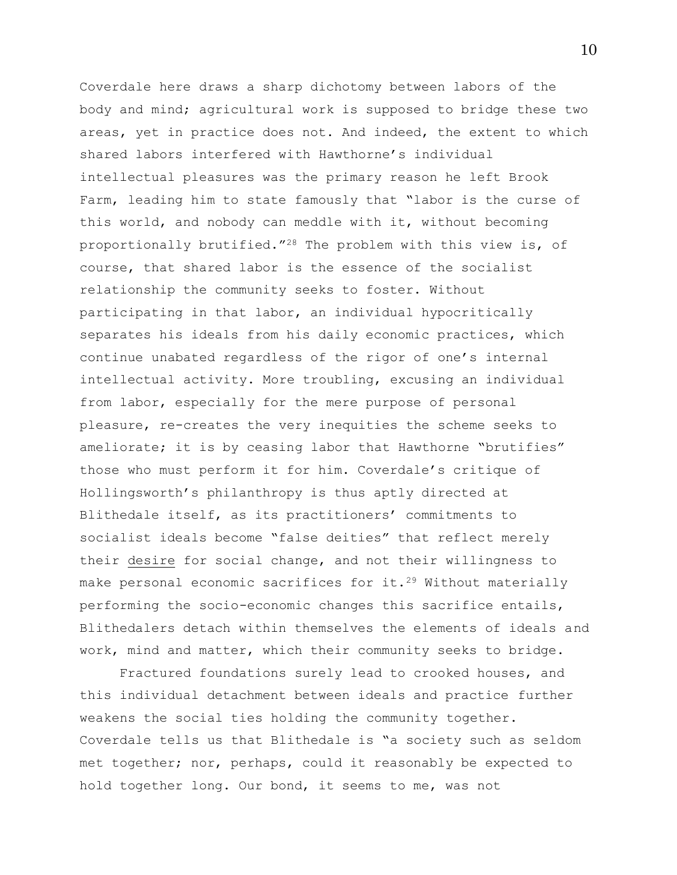Coverdale here draws a sharp dichotomy between labors of the body and mind; agricultural work is supposed to bridge these two areas, yet in practice does not. And indeed, the extent to which shared labors interfered with Hawthorne's individual intellectual pleasures was the primary reason he left Brook Farm, leading him to state famously that "labor is the curse of this world, and nobody can meddle with it, without becoming proportionally brutified."<sup>28</sup> The problem with this view is, of course, that shared labor is the essence of the socialist relationship the community seeks to foster. Without participating in that labor, an individual hypocritically separates his ideals from his daily economic practices, which continue unabated regardless of the rigor of one's internal intellectual activity. More troubling, excusing an individual from labor, especially for the mere purpose of personal pleasure, re-creates the very inequities the scheme seeks to ameliorate; it is by ceasing labor that Hawthorne "brutifies" those who must perform it for him. Coverdale's critique of Hollingsworth's philanthropy is thus aptly directed at Blithedale itself, as its practitioners' commitments to socialist ideals become "false deities" that reflect merely their desire for social change, and not their willingness to make personal economic sacrifices for it.<sup>29</sup> Without materially performing the socio-economic changes this sacrifice entails, Blithedalers detach within themselves the elements of ideals and work, mind and matter, which their community seeks to bridge.

Fractured foundations surely lead to crooked houses, and this individual detachment between ideals and practice further weakens the social ties holding the community together. Coverdale tells us that Blithedale is "a society such as seldom met together; nor, perhaps, could it reasonably be expected to hold together long. Our bond, it seems to me, was not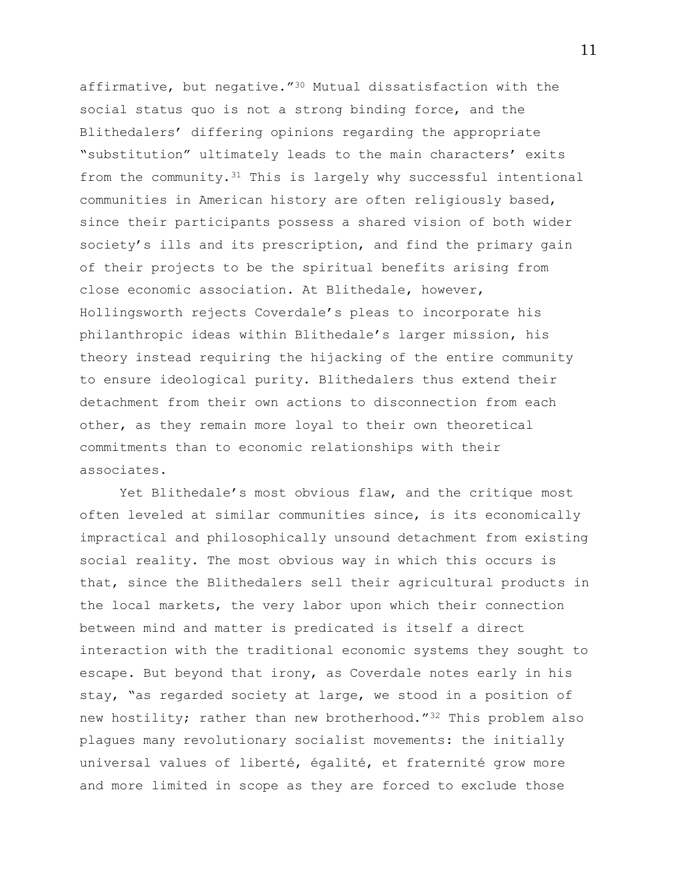affirmative, but negative."<sup>30</sup> Mutual dissatisfaction with the social status quo is not a strong binding force, and the Blithedalers' differing opinions regarding the appropriate "substitution" ultimately leads to the main characters' exits from the community.<sup>31</sup> This is largely why successful intentional communities in American history are often religiously based, since their participants possess a shared vision of both wider society's ills and its prescription, and find the primary gain of their projects to be the spiritual benefits arising from close economic association. At Blithedale, however, Hollingsworth rejects Coverdale's pleas to incorporate his philanthropic ideas within Blithedale's larger mission, his theory instead requiring the hijacking of the entire community to ensure ideological purity. Blithedalers thus extend their detachment from their own actions to disconnection from each other, as they remain more loyal to their own theoretical commitments than to economic relationships with their associates.

Yet Blithedale's most obvious flaw, and the critique most often leveled at similar communities since, is its economically impractical and philosophically unsound detachment from existing social reality. The most obvious way in which this occurs is that, since the Blithedalers sell their agricultural products in the local markets, the very labor upon which their connection between mind and matter is predicated is itself a direct interaction with the traditional economic systems they sought to escape. But beyond that irony, as Coverdale notes early in his stay, "as regarded society at large, we stood in a position of new hostility; rather than new brotherhood."<sup>32</sup> This problem also plagues many revolutionary socialist movements: the initially universal values of liberté, égalité, et fraternité grow more and more limited in scope as they are forced to exclude those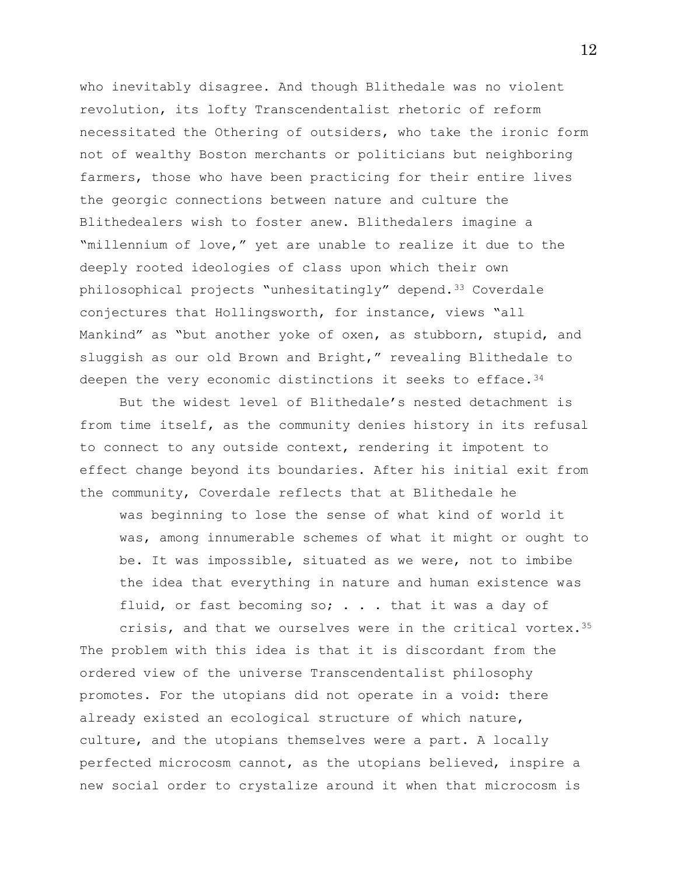who inevitably disagree. And though Blithedale was no violent revolution, its lofty Transcendentalist rhetoric of reform necessitated the Othering of outsiders, who take the ironic form not of wealthy Boston merchants or politicians but neighboring farmers, those who have been practicing for their entire lives the georgic connections between nature and culture the Blithedealers wish to foster anew. Blithedalers imagine a "millennium of love," yet are unable to realize it due to the deeply rooted ideologies of class upon which their own philosophical projects "unhesitatingly" depend.<sup>33</sup> Coverdale conjectures that Hollingsworth, for instance, views "all Mankind" as "but another yoke of oxen, as stubborn, stupid, and sluggish as our old Brown and Bright," revealing Blithedale to deepen the very economic distinctions it seeks to efface.<sup>34</sup>

But the widest level of Blithedale's nested detachment is from time itself, as the community denies history in its refusal to connect to any outside context, rendering it impotent to effect change beyond its boundaries. After his initial exit from the community, Coverdale reflects that at Blithedale he

was beginning to lose the sense of what kind of world it was, among innumerable schemes of what it might or ought to be. It was impossible, situated as we were, not to imbibe the idea that everything in nature and human existence was fluid, or fast becoming so; . . . that it was a day of

crisis, and that we ourselves were in the critical vortex.<sup>35</sup> The problem with this idea is that it is discordant from the ordered view of the universe Transcendentalist philosophy promotes. For the utopians did not operate in a void: there already existed an ecological structure of which nature, culture, and the utopians themselves were a part. A locally perfected microcosm cannot, as the utopians believed, inspire a new social order to crystalize around it when that microcosm is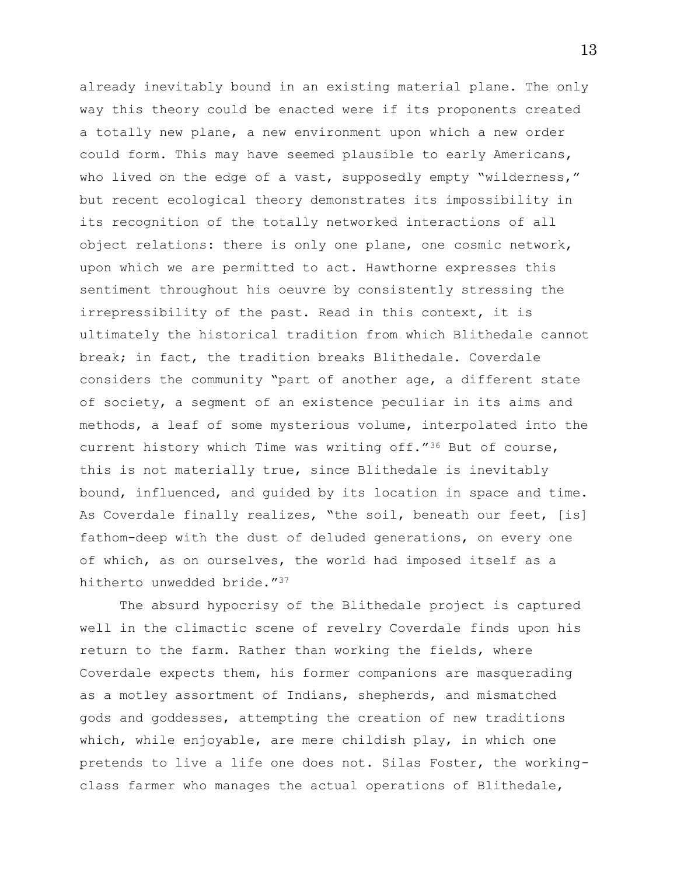already inevitably bound in an existing material plane. The only way this theory could be enacted were if its proponents created a totally new plane, a new environment upon which a new order could form. This may have seemed plausible to early Americans, who lived on the edge of a vast, supposedly empty "wilderness," but recent ecological theory demonstrates its impossibility in its recognition of the totally networked interactions of all object relations: there is only one plane, one cosmic network, upon which we are permitted to act. Hawthorne expresses this sentiment throughout his oeuvre by consistently stressing the irrepressibility of the past. Read in this context, it is ultimately the historical tradition from which Blithedale cannot break; in fact, the tradition breaks Blithedale. Coverdale considers the community "part of another age, a different state of society, a segment of an existence peculiar in its aims and methods, a leaf of some mysterious volume, interpolated into the current history which Time was writing off."<sup>36</sup> But of course, this is not materially true, since Blithedale is inevitably bound, influenced, and guided by its location in space and time. As Coverdale finally realizes, "the soil, beneath our feet, [is] fathom-deep with the dust of deluded generations, on every one of which, as on ourselves, the world had imposed itself as a hitherto unwedded bride."<sup>37</sup>

The absurd hypocrisy of the Blithedale project is captured well in the climactic scene of revelry Coverdale finds upon his return to the farm. Rather than working the fields, where Coverdale expects them, his former companions are masquerading as a motley assortment of Indians, shepherds, and mismatched gods and goddesses, attempting the creation of new traditions which, while enjoyable, are mere childish play, in which one pretends to live a life one does not. Silas Foster, the workingclass farmer who manages the actual operations of Blithedale,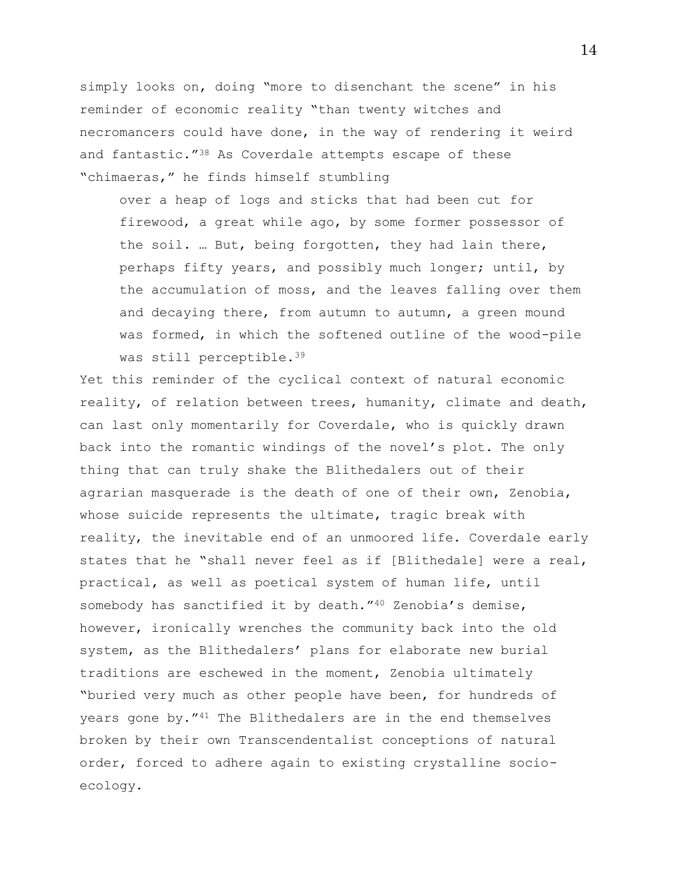simply looks on, doing "more to disenchant the scene" in his reminder of economic reality "than twenty witches and necromancers could have done, in the way of rendering it weird and fantastic."<sup>38</sup> As Coverdale attempts escape of these "chimaeras," he finds himself stumbling

over a heap of logs and sticks that had been cut for firewood, a great while ago, by some former possessor of the soil. … But, being forgotten, they had lain there, perhaps fifty years, and possibly much longer; until, by the accumulation of moss, and the leaves falling over them and decaying there, from autumn to autumn, a green mound was formed, in which the softened outline of the wood-pile was still perceptible.<sup>39</sup>

Yet this reminder of the cyclical context of natural economic reality, of relation between trees, humanity, climate and death, can last only momentarily for Coverdale, who is quickly drawn back into the romantic windings of the novel's plot. The only thing that can truly shake the Blithedalers out of their agrarian masquerade is the death of one of their own, Zenobia, whose suicide represents the ultimate, tragic break with reality, the inevitable end of an unmoored life. Coverdale early states that he "shall never feel as if [Blithedale] were a real, practical, as well as poetical system of human life, until somebody has sanctified it by death."<sup>40</sup> Zenobia's demise, however, ironically wrenches the community back into the old system, as the Blithedalers' plans for elaborate new burial traditions are eschewed in the moment, Zenobia ultimately "buried very much as other people have been, for hundreds of years gone by."<sup>41</sup> The Blithedalers are in the end themselves broken by their own Transcendentalist conceptions of natural order, forced to adhere again to existing crystalline socioecology.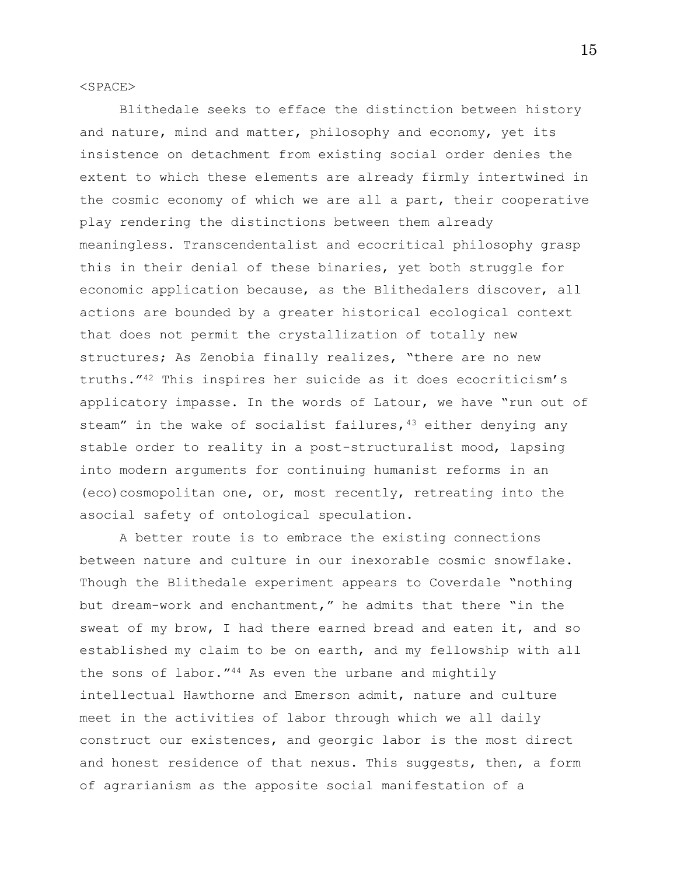<SPACE>

Blithedale seeks to efface the distinction between history and nature, mind and matter, philosophy and economy, yet its insistence on detachment from existing social order denies the extent to which these elements are already firmly intertwined in the cosmic economy of which we are all a part, their cooperative play rendering the distinctions between them already meaningless. Transcendentalist and ecocritical philosophy grasp this in their denial of these binaries, yet both struggle for economic application because, as the Blithedalers discover, all actions are bounded by a greater historical ecological context that does not permit the crystallization of totally new structures; As Zenobia finally realizes, "there are no new truths."<sup>42</sup> This inspires her suicide as it does ecocriticism's applicatory impasse. In the words of Latour, we have "run out of steam" in the wake of socialist failures,  $43$  either denying any stable order to reality in a post-structuralist mood, lapsing into modern arguments for continuing humanist reforms in an (eco)cosmopolitan one, or, most recently, retreating into the asocial safety of ontological speculation.

A better route is to embrace the existing connections between nature and culture in our inexorable cosmic snowflake. Though the Blithedale experiment appears to Coverdale "nothing but dream-work and enchantment," he admits that there "in the sweat of my brow, I had there earned bread and eaten it, and so established my claim to be on earth, and my fellowship with all the sons of labor."<sup>44</sup> As even the urbane and mightily intellectual Hawthorne and Emerson admit, nature and culture meet in the activities of labor through which we all daily construct our existences, and georgic labor is the most direct and honest residence of that nexus. This suggests, then, a form of agrarianism as the apposite social manifestation of a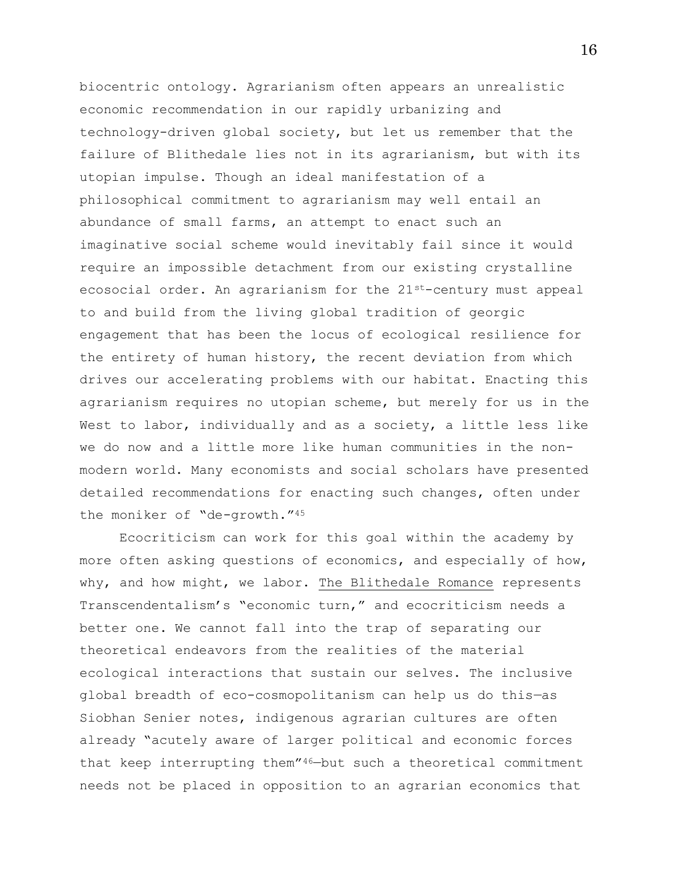biocentric ontology. Agrarianism often appears an unrealistic economic recommendation in our rapidly urbanizing and technology-driven global society, but let us remember that the failure of Blithedale lies not in its agrarianism, but with its utopian impulse. Though an ideal manifestation of a philosophical commitment to agrarianism may well entail an abundance of small farms, an attempt to enact such an imaginative social scheme would inevitably fail since it would require an impossible detachment from our existing crystalline ecosocial order. An agrarianism for the  $21^{st}$ -century must appeal to and build from the living global tradition of georgic engagement that has been the locus of ecological resilience for the entirety of human history, the recent deviation from which drives our accelerating problems with our habitat. Enacting this agrarianism requires no utopian scheme, but merely for us in the West to labor, individually and as a society, a little less like we do now and a little more like human communities in the nonmodern world. Many economists and social scholars have presented detailed recommendations for enacting such changes, often under the moniker of "de-growth."<sup>45</sup>

Ecocriticism can work for this goal within the academy by more often asking questions of economics, and especially of how, why, and how might, we labor. The Blithedale Romance represents Transcendentalism's "economic turn," and ecocriticism needs a better one. We cannot fall into the trap of separating our theoretical endeavors from the realities of the material ecological interactions that sustain our selves. The inclusive global breadth of eco-cosmopolitanism can help us do this—as Siobhan Senier notes, indigenous agrarian cultures are often already "acutely aware of larger political and economic forces that keep interrupting them"46—but such a theoretical commitment needs not be placed in opposition to an agrarian economics that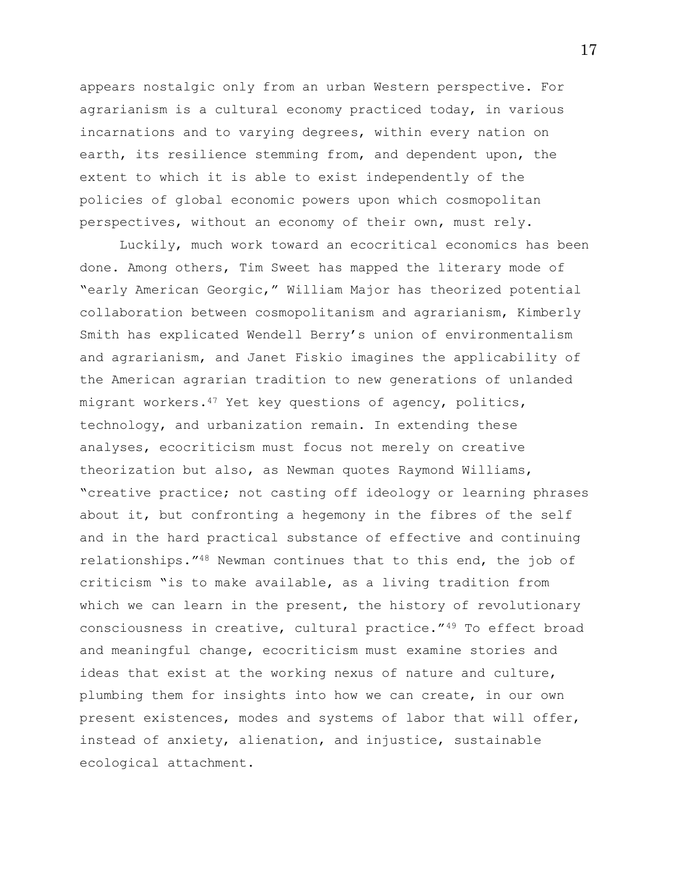appears nostalgic only from an urban Western perspective. For agrarianism is a cultural economy practiced today, in various incarnations and to varying degrees, within every nation on earth, its resilience stemming from, and dependent upon, the extent to which it is able to exist independently of the policies of global economic powers upon which cosmopolitan perspectives, without an economy of their own, must rely.

Luckily, much work toward an ecocritical economics has been done. Among others, Tim Sweet has mapped the literary mode of "early American Georgic," William Major has theorized potential collaboration between cosmopolitanism and agrarianism, Kimberly Smith has explicated Wendell Berry's union of environmentalism and agrarianism, and Janet Fiskio imagines the applicability of the American agrarian tradition to new generations of unlanded migrant workers.<sup>47</sup> Yet key questions of agency, politics, technology, and urbanization remain. In extending these analyses, ecocriticism must focus not merely on creative theorization but also, as Newman quotes Raymond Williams, "creative practice; not casting off ideology or learning phrases about it, but confronting a hegemony in the fibres of the self and in the hard practical substance of effective and continuing relationships."<sup>48</sup> Newman continues that to this end, the job of criticism "is to make available, as a living tradition from which we can learn in the present, the history of revolutionary consciousness in creative, cultural practice."<sup>49</sup> To effect broad and meaningful change, ecocriticism must examine stories and ideas that exist at the working nexus of nature and culture, plumbing them for insights into how we can create, in our own present existences, modes and systems of labor that will offer, instead of anxiety, alienation, and injustice, sustainable ecological attachment.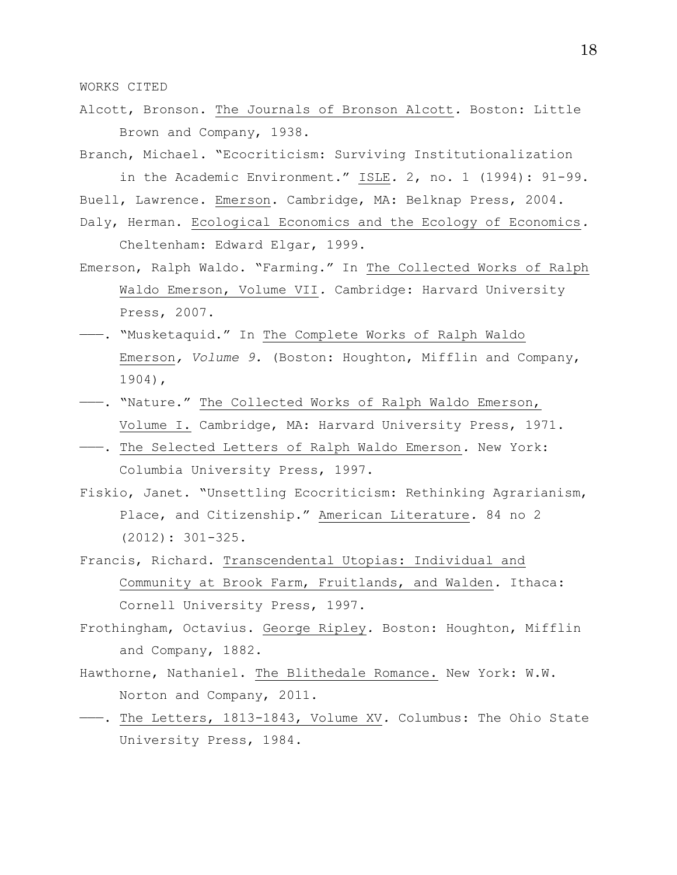WORKS CITED

Alcott, Bronson. The Journals of Bronson Alcott*.* Boston: Little Brown and Company, 1938.

Branch, Michael. "Ecocriticism: Surviving Institutionalization in the Academic Environment." ISLE*.* 2, no. 1 (1994): 91-99.

- Buell, Lawrence. Emerson. Cambridge, MA: Belknap Press, 2004.
- Daly, Herman. Ecological Economics and the Ecology of Economics*.*  Cheltenham: Edward Elgar, 1999.
- Emerson, Ralph Waldo. "Farming." In The Collected Works of Ralph Waldo Emerson, Volume VII*.* Cambridge: Harvard University Press, 2007.
- -- . "Musketaquid." In The Complete Works of Ralph Waldo Emerson*, Volume 9.* (Boston: Houghton, Mifflin and Company, 1904),
- -- . "Nature." The Collected Works of Ralph Waldo Emerson, Volume I. Cambridge, MA: Harvard University Press, 1971.
- ———. The Selected Letters of Ralph Waldo Emerson*.* New York: Columbia University Press, 1997.
- Fiskio, Janet. "Unsettling Ecocriticism: Rethinking Agrarianism, Place, and Citizenship." American Literature*.* 84 no 2 (2012): 301-325.
- Francis, Richard. Transcendental Utopias: Individual and Community at Brook Farm, Fruitlands, and Walden*.* Ithaca: Cornell University Press, 1997.
- Frothingham, Octavius. George Ripley*.* Boston: Houghton, Mifflin and Company, 1882.
- Hawthorne, Nathaniel. The Blithedale Romance. New York: W.W. Norton and Company, 2011.
- ———. The Letters, 1813-1843, Volume XV*.* Columbus: The Ohio State University Press, 1984.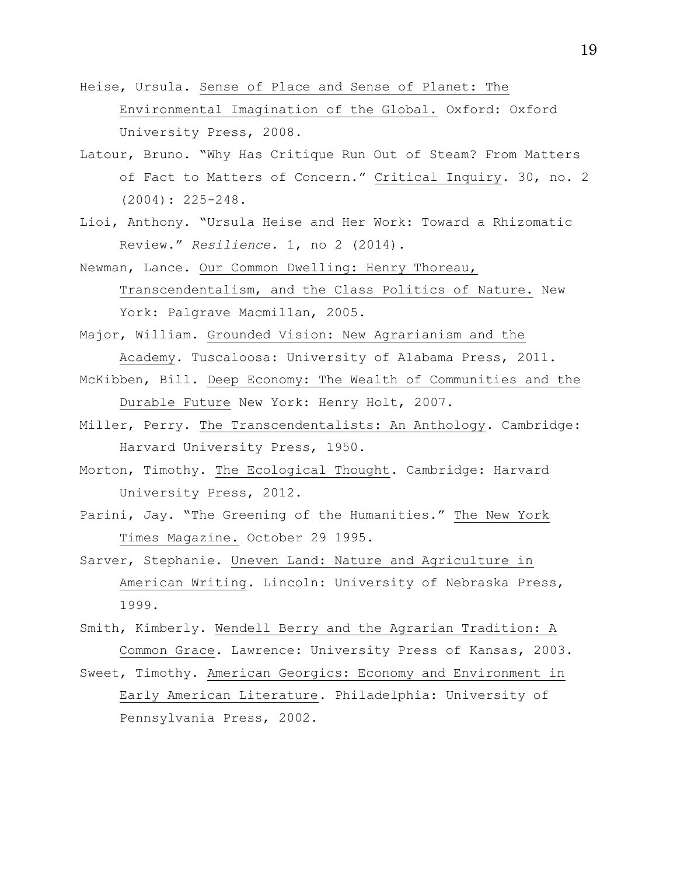- Heise, Ursula. Sense of Place and Sense of Planet: The Environmental Imagination of the Global. Oxford: Oxford University Press, 2008.
- Latour, Bruno. "Why Has Critique Run Out of Steam? From Matters of Fact to Matters of Concern." Critical Inquiry*.* 30, no. 2 (2004): 225-248.
- Lioi, Anthony. "Ursula Heise and Her Work: Toward a Rhizomatic Review." *Resilience.* 1, no 2 (2014).
- Newman, Lance. Our Common Dwelling: Henry Thoreau, Transcendentalism, and the Class Politics of Nature. New York: Palgrave Macmillan, 2005.
- Major, William. Grounded Vision: New Agrarianism and the Academy*.* Tuscaloosa: University of Alabama Press, 2011.
- McKibben, Bill. Deep Economy: The Wealth of Communities and the Durable Future New York: Henry Holt, 2007.
- Miller, Perry. The Transcendentalists: An Anthology*.* Cambridge: Harvard University Press, 1950.
- Morton, Timothy. The Ecological Thought. Cambridge: Harvard University Press, 2012.
- Parini, Jay. "The Greening of the Humanities." The New York Times Magazine. October 29 1995.
- Sarver, Stephanie. Uneven Land: Nature and Agriculture in American Writing*.* Lincoln: University of Nebraska Press, 1999.
- Smith, Kimberly. Wendell Berry and the Agrarian Tradition: A Common Grace. Lawrence: University Press of Kansas, 2003.
- Sweet, Timothy. American Georgics: Economy and Environment in Early American Literature. Philadelphia: University of Pennsylvania Press, 2002.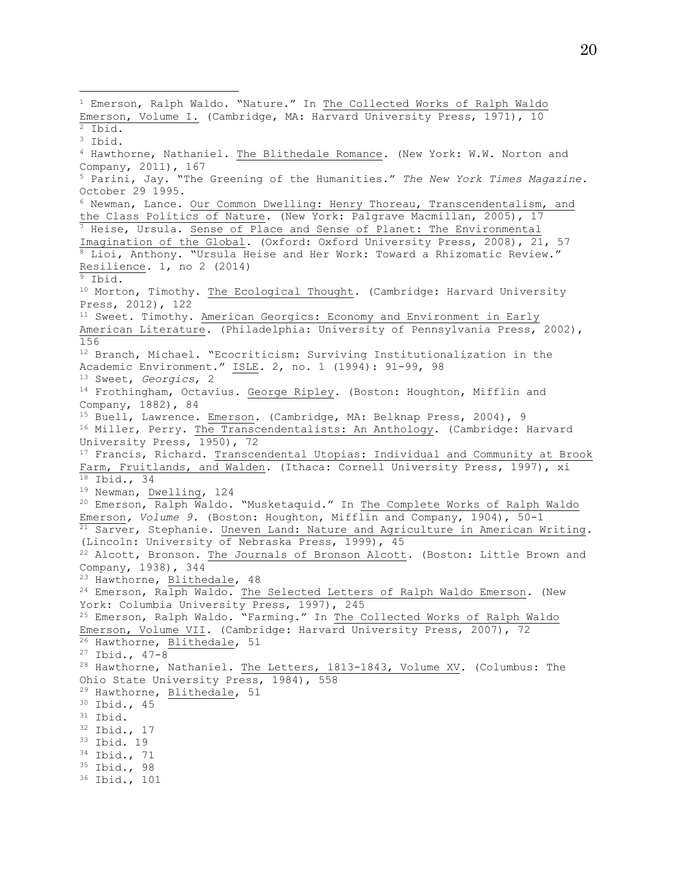<sup>1</sup> Emerson, Ralph Waldo. "Nature." In The Collected Works of Ralph Waldo Emerson, Volume I. (Cambridge, MA: Harvard University Press, 1971), 10  $\overline{\text{2}_1}$  Ibid. <sup>3</sup> Ibid. <sup>4</sup> Hawthorne, Nathaniel. The Blithedale Romance*.* (New York: W.W. Norton and Company, 2011), 167 <sup>5</sup> Parini, Jay. "The Greening of the Humanities." *The New York Times Magazine.*  October 29 1995. 6 Newman, Lance. Our Common Dwelling: Henry Thoreau, Transcendentalism, and the Class Politics of Nature*.* (New York: Palgrave Macmillan, 2005), 17  $^7$  Heise, Ursula. Sense of Place and Sense of Planet: The Environmental Imagination of the Global*.* (Oxford: Oxford University Press, 2008), 21, 57 <sup>8</sup> Lioi, Anthony. "Ursula Heise and Her Work: Toward a Rhizomatic Review." Resilience*.* 1, no 2 (2014)  $\overline{9}$  Ibid. <sup>10</sup> Morton, Timothy. The Ecological Thought*.* (Cambridge: Harvard University Press, 2012), 122 <sup>11</sup> Sweet. Timothy. American Georgics: Economy and Environment in Early American Literature*.* (Philadelphia: University of Pennsylvania Press, 2002), 156 <sup>12</sup> Branch, Michael. "Ecocriticism: Surviving Institutionalization in the Academic Environment." ISLE*.* 2, no. 1 (1994): 91-99, 98 <sup>13</sup> Sweet, *Georgics*, 2 <sup>14</sup> Frothingham, Octavius. George Ripley*.* (Boston: Houghton, Mifflin and Company, 1882), 84 <sup>15</sup> Buell, Lawrence. Emerson. (Cambridge, MA: Belknap Press, 2004), 9 <sup>16</sup> Miller, Perry. The Transcendentalists: An Anthology*.* (Cambridge: Harvard University Press, 1950), 72 <sup>17</sup> Francis, Richard. Transcendental Utopias: Individual and Community at Brook Farm, Fruitlands, and Walden*.* (Ithaca: Cornell University Press, 1997), xi  $18$  Ibid., 34 <sup>19</sup> Newman, Dwelling, 124 <sup>20</sup> Emerson, Ralph Waldo. "Musketaquid." In The Complete Works of Ralph Waldo Emerson*, Volume 9.* (Boston: Houghton, Mifflin and Company, 1904), 50-1 <sup>21</sup> Sarver, Stephanie. Uneven Land: Nature and Agriculture in American Writing*.*  (Lincoln: University of Nebraska Press, 1999), 45 <sup>22</sup> Alcott, Bronson. The Journals of Bronson Alcott*.* (Boston: Little Brown and Company, 1938), 344 <sup>23</sup> Hawthorne, Blithedale, 48 <sup>24</sup> Emerson, Ralph Waldo. The Selected Letters of Ralph Waldo Emerson*.* (New York: Columbia University Press, 1997), 245 <sup>25</sup> Emerson, Ralph Waldo. "Farming." In The Collected Works of Ralph Waldo Emerson, Volume VII*.* (Cambridge: Harvard University Press, 2007), 72 26 Hawthorne, Blithedale, 51 <sup>27</sup> Ibid., 47-8 <sup>28</sup> Hawthorne, Nathaniel. The Letters, 1813-1843, Volume XV*.* (Columbus: The Ohio State University Press, 1984), 558 <sup>29</sup> Hawthorne, Blithedale, 51 <sup>30</sup> Ibid., 45 <sup>31</sup> Ibid. <sup>32</sup> Ibid., 17 <sup>33</sup> Ibid. 19 <sup>34</sup> Ibid., 71 <sup>35</sup> Ibid., 98 <sup>36</sup> Ibid., 101

l